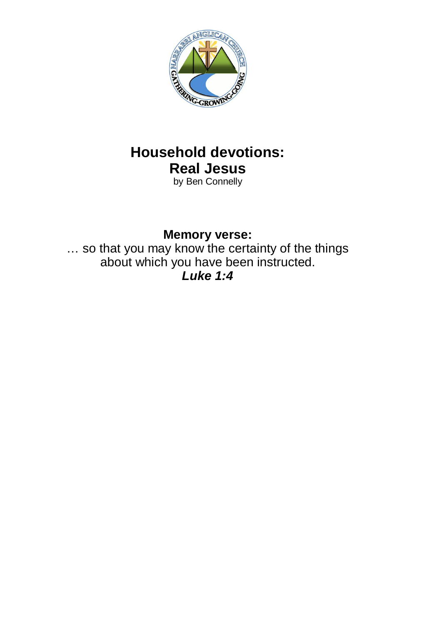

# **Household devotions: Real Jesus**

by Ben Connelly

### **Memory verse:**

… so that you may know the certainty of the things about which you have been instructed.

*Luke 1:4*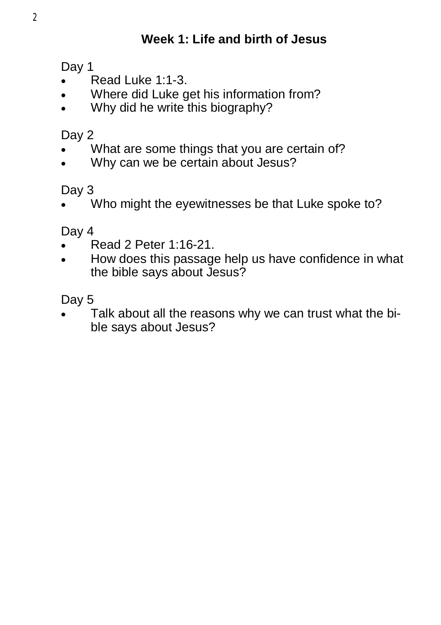## **Week 1: Life and birth of Jesus**

Day 1

- Read Luke 1:1-3.
- Where did Luke get his information from?
- Why did he write this biography?

Day 2

- What are some things that you are certain of?
- Why can we be certain about Jesus?

Day 3

Who might the eyewitnesses be that Luke spoke to?

Day 4

- Read 2 Peter 1:16-21.
- How does this passage help us have confidence in what the bible says about Jesus?

Day 5

 Talk about all the reasons why we can trust what the bible says about Jesus?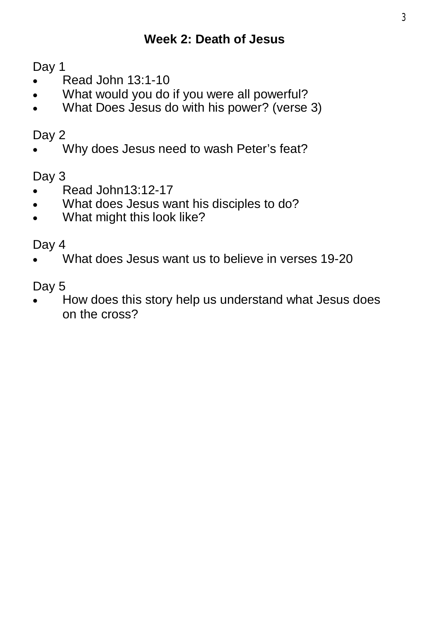Day 1

- Read John 13:1-10
- What would you do if you were all powerful?
- What Does Jesus do with his power? (verse 3)

#### Day 2

Why does Jesus need to wash Peter's feat?

Day 3

- Read John13:12-17
- What does Jesus want his disciples to do?
- What might this look like?

Day 4

What does Jesus want us to believe in verses 19-20

Day 5

• How does this story help us understand what Jesus does on the cross?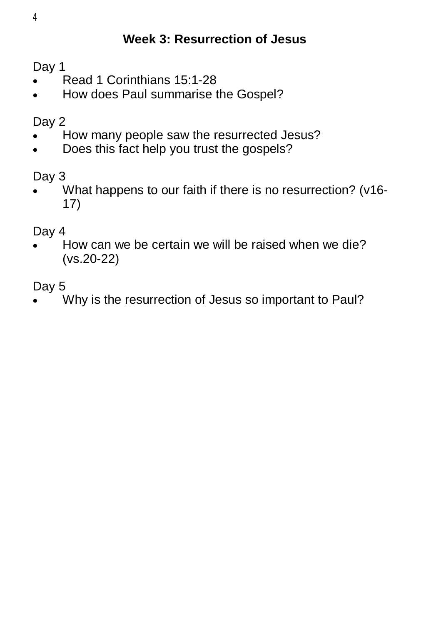## **Week 3: Resurrection of Jesus**

Day 1

- Read 1 Corinthians 15:1-28
- How does Paul summarise the Gospel?

Day 2

- How many people saw the resurrected Jesus?
- Does this fact help you trust the gospels?

Day 3

 What happens to our faith if there is no resurrection? (v16- 17)

Day 4

 How can we be certain we will be raised when we die? (vs.20-22)

Day 5

Why is the resurrection of Jesus so important to Paul?